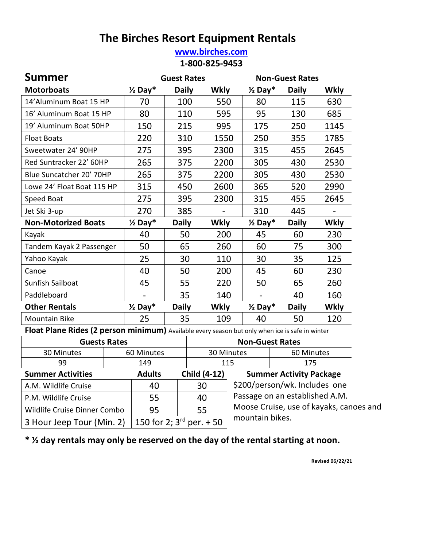## **The Birches Resort Equipment Rentals**

#### **[www.birches.com](http://www.birches.com/) 1-800-825-9453**

| Summer                                                                                          |                    | <b>Guest Rates</b> |             |                        | <b>Non-Guest Rates</b> |             |
|-------------------------------------------------------------------------------------------------|--------------------|--------------------|-------------|------------------------|------------------------|-------------|
| <b>Motorboats</b>                                                                               | $\frac{1}{2}$ Day* | <b>Daily</b>       | <b>Wkly</b> | $\frac{1}{2}$ Day*     | <b>Daily</b>           | <b>Wkly</b> |
| 14' Aluminum Boat 15 HP                                                                         | 70                 | 100                | 550         | 80                     | 115                    | 630         |
| 16' Aluminum Boat 15 HP                                                                         | 80                 | 110                | 595         | 95                     | 130                    | 685         |
| 19' Aluminum Boat 50HP                                                                          | 150                | 215                | 995         | 175                    | 250                    | 1145        |
| <b>Float Boats</b>                                                                              | 220                | 310                | 1550        | 250                    | 355                    | 1785        |
| Sweetwater 24' 90HP                                                                             | 275                | 395                | 2300        | 315                    | 455                    | 2645        |
| Red Suntracker 22' 60HP                                                                         | 265                | 375                | 2200        | 305                    | 430                    | 2530        |
| Blue Suncatcher 20' 70HP                                                                        | 265                | 375                | 2200        | 305                    | 430                    | 2530        |
| Lowe 24' Float Boat 115 HP                                                                      | 315                | 450                | 2600        | 365                    | 520                    | 2990        |
| Speed Boat                                                                                      | 275                | 395                | 2300        | 315                    | 455                    | 2645        |
| Jet Ski 3-up                                                                                    | 270                | 385                |             | 310                    | 445                    |             |
| <b>Non-Motorized Boats</b>                                                                      | $\frac{1}{2}$ Day* | <b>Daily</b>       | <b>Wkly</b> | $\frac{1}{2}$ Day*     | <b>Daily</b>           | <b>Wkly</b> |
| Kayak                                                                                           | 40                 | 50                 | 200         | 45                     | 60                     | 230         |
| Tandem Kayak 2 Passenger                                                                        | 50                 | 65                 | 260         | 60                     | 75                     | 300         |
| Yahoo Kayak                                                                                     | 25                 | 30                 | 110         | 30                     | 35                     | 125         |
| Canoe                                                                                           | 40                 | 50                 | 200         | 45                     | 60                     | 230         |
| <b>Sunfish Sailboat</b>                                                                         | 45                 | 55                 | 220         | 50                     | 65                     | 260         |
| Paddleboard                                                                                     |                    | 35                 | 140         |                        | 40                     | 160         |
| <b>Other Rentals</b>                                                                            | $\frac{1}{2}$ Day* | <b>Daily</b>       | <b>Wkly</b> | $\frac{1}{2}$ Day*     | <b>Daily</b>           | <b>Wkly</b> |
| <b>Mountain Bike</b>                                                                            | 25                 | 35                 | 109         | 40                     | 50                     | 120         |
| Float Plane Rides (2 person minimum) Available every season but only when ice is safe in winter |                    |                    |             |                        |                        |             |
| <b>Guests Rates</b>                                                                             |                    |                    |             | <b>Non-Guest Rates</b> |                        |             |

| <b>Guests Rates</b>          |  |                          |                               | <b>Non-Guest Rates</b>                  |                                |  |
|------------------------------|--|--------------------------|-------------------------------|-----------------------------------------|--------------------------------|--|
| 30 Minutes                   |  | 30 Minutes<br>60 Minutes |                               |                                         | 60 Minutes                     |  |
| 99                           |  | 149                      |                               | 115                                     | 175                            |  |
| <b>Summer Activities</b>     |  | <b>Adults</b>            | <b>Child (4-12)</b>           |                                         | <b>Summer Activity Package</b> |  |
| A.M. Wildlife Cruise         |  | 40                       | 30                            |                                         | \$200/person/wk. Includes one  |  |
| P.M. Wildlife Cruise         |  | 55                       | 40                            |                                         | Passage on an established A.M. |  |
| Wildlife Cruise Dinner Combo |  | 95                       | 55                            | Moose Cruise, use of kayaks, canoes and |                                |  |
| 3 Hour Jeep Tour (Min. 2)    |  |                          | 150 for 2; $3^{rd}$ per. + 50 | mountain bikes.                         |                                |  |

**\* ½ day rentals may only be reserved on the day of the rental starting at noon.**

 **Revised 06/22/21**